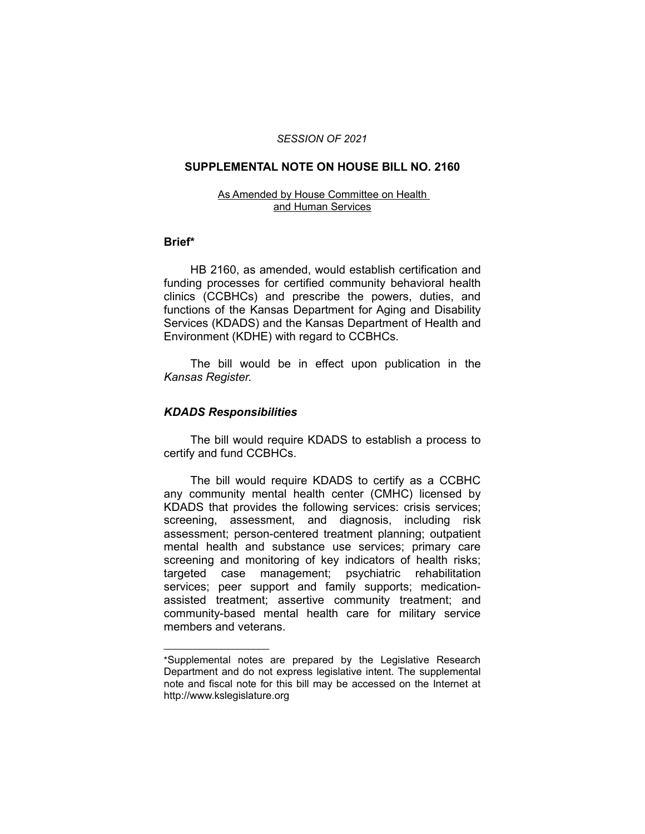#### *SESSION OF 2021*

#### **SUPPLEMENTAL NOTE ON HOUSE BILL NO. 2160**

#### As Amended by House Committee on Health and Human Services

#### **Brief\***

HB 2160, as amended, would establish certification and funding processes for certified community behavioral health clinics (CCBHCs) and prescribe the powers, duties, and functions of the Kansas Department for Aging and Disability Services (KDADS) and the Kansas Department of Health and Environment (KDHE) with regard to CCBHCs.

The bill would be in effect upon publication in the *Kansas Register.*

### *KDADS Responsibilities*

 $\overline{\phantom{a}}$  , where  $\overline{\phantom{a}}$  , where  $\overline{\phantom{a}}$ 

The bill would require KDADS to establish a process to certify and fund CCBHCs.

The bill would require KDADS to certify as a CCBHC any community mental health center (CMHC) licensed by KDADS that provides the following services: crisis services; screening, assessment, and diagnosis, including risk assessment; person-centered treatment planning; outpatient mental health and substance use services; primary care screening and monitoring of key indicators of health risks; targeted case management; psychiatric rehabilitation services; peer support and family supports; medicationassisted treatment; assertive community treatment; and community-based mental health care for military service members and veterans.

<sup>\*</sup>Supplemental notes are prepared by the Legislative Research Department and do not express legislative intent. The supplemental note and fiscal note for this bill may be accessed on the Internet at http://www.kslegislature.org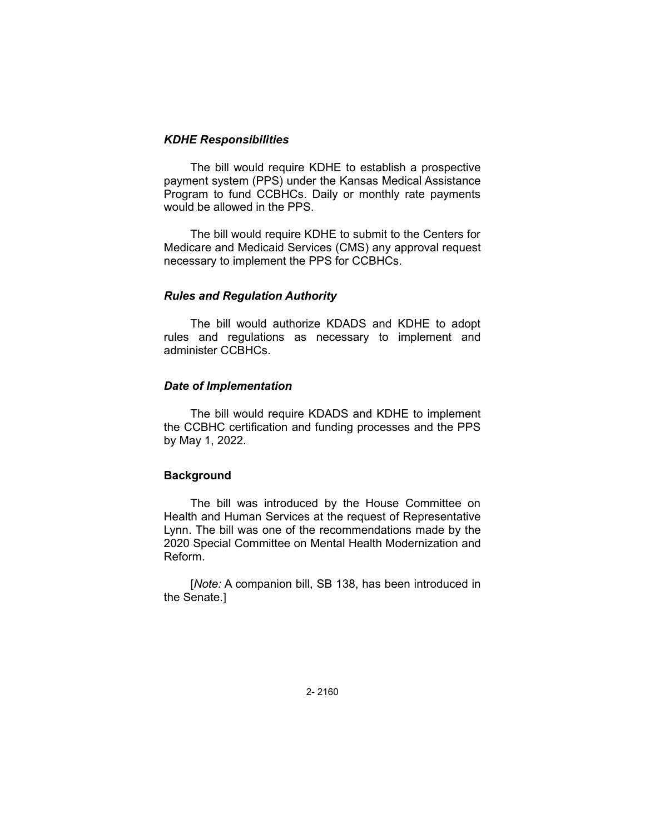## *KDHE Responsibilities*

The bill would require KDHE to establish a prospective payment system (PPS) under the Kansas Medical Assistance Program to fund CCBHCs. Daily or monthly rate payments would be allowed in the PPS.

The bill would require KDHE to submit to the Centers for Medicare and Medicaid Services (CMS) any approval request necessary to implement the PPS for CCBHCs.

## *Rules and Regulation Authority*

The bill would authorize KDADS and KDHE to adopt rules and regulations as necessary to implement and administer CCBHCs.

## *Date of Implementation*

The bill would require KDADS and KDHE to implement the CCBHC certification and funding processes and the PPS by May 1, 2022.

# **Background**

The bill was introduced by the House Committee on Health and Human Services at the request of Representative Lynn. The bill was one of the recommendations made by the 2020 Special Committee on Mental Health Modernization and Reform.

[*Note:* A companion bill, SB 138, has been introduced in the Senate.]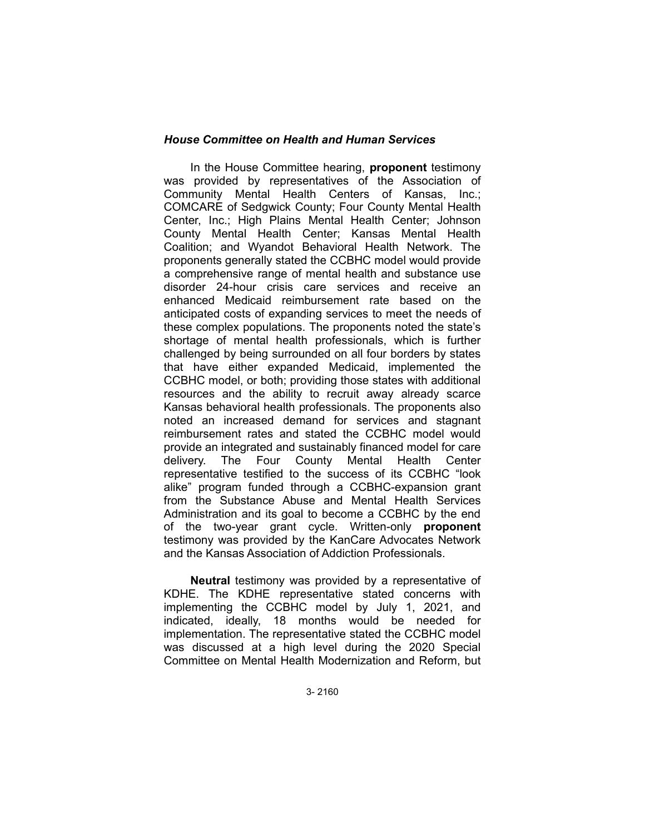## *House Committee on Health and Human Services*

In the House Committee hearing, **proponent** testimony was provided by representatives of the Association of Community Mental Health Centers of Kansas, Inc.; COMCARE of Sedgwick County; Four County Mental Health Center, Inc.; High Plains Mental Health Center; Johnson County Mental Health Center; Kansas Mental Health Coalition; and Wyandot Behavioral Health Network. The proponents generally stated the CCBHC model would provide a comprehensive range of mental health and substance use disorder 24-hour crisis care services and receive an enhanced Medicaid reimbursement rate based on the anticipated costs of expanding services to meet the needs of these complex populations. The proponents noted the state's shortage of mental health professionals, which is further challenged by being surrounded on all four borders by states that have either expanded Medicaid, implemented the CCBHC model, or both; providing those states with additional resources and the ability to recruit away already scarce Kansas behavioral health professionals. The proponents also noted an increased demand for services and stagnant reimbursement rates and stated the CCBHC model would provide an integrated and sustainably financed model for care delivery. The Four County Mental Health Center representative testified to the success of its CCBHC "look alike" program funded through a CCBHC-expansion grant from the Substance Abuse and Mental Health Services Administration and its goal to become a CCBHC by the end of the two-year grant cycle. Written-only **proponent** testimony was provided by the KanCare Advocates Network and the Kansas Association of Addiction Professionals.

**Neutral** testimony was provided by a representative of KDHE. The KDHE representative stated concerns with implementing the CCBHC model by July 1, 2021, and indicated, ideally, 18 months would be needed for implementation. The representative stated the CCBHC model was discussed at a high level during the 2020 Special Committee on Mental Health Modernization and Reform, but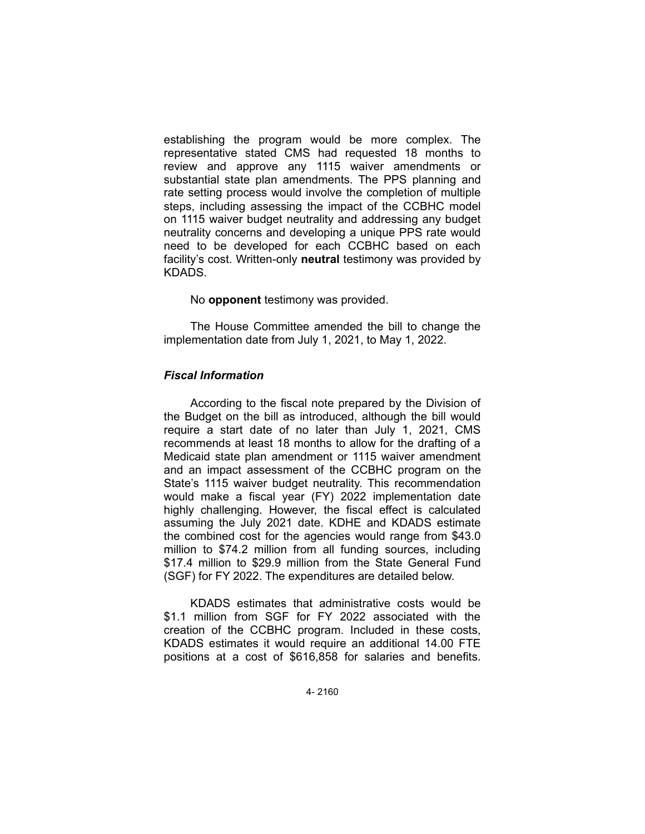establishing the program would be more complex. The representative stated CMS had requested 18 months to review and approve any 1115 waiver amendments or substantial state plan amendments. The PPS planning and rate setting process would involve the completion of multiple steps, including assessing the impact of the CCBHC model on 1115 waiver budget neutrality and addressing any budget neutrality concerns and developing a unique PPS rate would need to be developed for each CCBHC based on each facility's cost. Written-only **neutral** testimony was provided by KDADS.

#### No **opponent** testimony was provided.

The House Committee amended the bill to change the implementation date from July 1, 2021, to May 1, 2022.

### *Fiscal Information*

According to the fiscal note prepared by the Division of the Budget on the bill as introduced, although the bill would require a start date of no later than July 1, 2021, CMS recommends at least 18 months to allow for the drafting of a Medicaid state plan amendment or 1115 waiver amendment and an impact assessment of the CCBHC program on the State's 1115 waiver budget neutrality. This recommendation would make a fiscal year (FY) 2022 implementation date highly challenging. However, the fiscal effect is calculated assuming the July 2021 date. KDHE and KDADS estimate the combined cost for the agencies would range from \$43.0 million to \$74.2 million from all funding sources, including \$17.4 million to \$29.9 million from the State General Fund (SGF) for FY 2022. The expenditures are detailed below.

KDADS estimates that administrative costs would be \$1.1 million from SGF for FY 2022 associated with the creation of the CCBHC program. Included in these costs, KDADS estimates it would require an additional 14.00 FTE positions at a cost of \$616,858 for salaries and benefits.